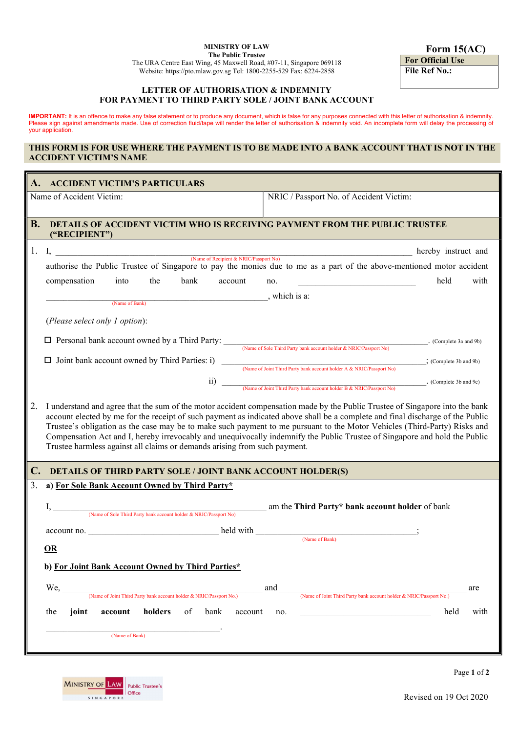MINISTRY OF LAW The Public Trustee The URA Centre East Wing, 45 Maxwell Road, #07-11, Singapore 069118 Website: https://pto.mlaw.gov.sg Tel: 1800-2255-529 Fax: 6224-2858

Form 15(AC)

For Official Use File Ref No.:

### LETTER OF AUTHORISATION & INDEMNITY FOR PAYMENT TO THIRD PARTY SOLE / JOINT BANK ACCOUNT

IMPORTANT: It is an offence to make any false statement or to produce any document, which is false for any purposes connected with this letter of authorisation & indemnity. Please sign against amendments made. Use of correction fluid/tape will render the letter of authorisation & indemnity void. An incomplete form will delay the processing of your application.

#### THIS FORM IS FOR USE WHERE THE PAYMENT IS TO BE MADE INTO A BANK ACCOUNT THAT IS NOT IN THE ACCIDENT VICTIM'S NAME

|                          | <b>ACCIDENT VICTIM'S PARTICULARS</b>                                                                                                                                                                                                                                                                                                                                                                                                                                   |                                                                                           |                     |
|--------------------------|------------------------------------------------------------------------------------------------------------------------------------------------------------------------------------------------------------------------------------------------------------------------------------------------------------------------------------------------------------------------------------------------------------------------------------------------------------------------|-------------------------------------------------------------------------------------------|---------------------|
| Name of Accident Victim: |                                                                                                                                                                                                                                                                                                                                                                                                                                                                        | NRIC / Passport No. of Accident Victim:                                                   |                     |
| <b>B.</b>                |                                                                                                                                                                                                                                                                                                                                                                                                                                                                        |                                                                                           |                     |
|                          | DETAILS OF ACCIDENT VICTIM WHO IS RECEIVING PAYMENT FROM THE PUBLIC TRUSTEE<br>("RECIPIENT")<br>and the control of the control of the control of the control of the control of the control of the control of the                                                                                                                                                                                                                                                       |                                                                                           |                     |
|                          | 1. I, <u>Came of Recipient &amp; NRIC/Passport</u> No.                                                                                                                                                                                                                                                                                                                                                                                                                 |                                                                                           | hereby instruct and |
|                          | authorise the Public Trustee of Singapore to pay the monies due to me as a part of the above-mentioned motor accident                                                                                                                                                                                                                                                                                                                                                  |                                                                                           |                     |
|                          | compensation<br>into<br>the<br>bank<br>account                                                                                                                                                                                                                                                                                                                                                                                                                         | no.<br><u> 1990 - Johann Barn, mars ann an t-Amhain</u>                                   | held<br>with        |
|                          | $\frac{\text{(Name of Bank)}}{\text{(Name of Bank)}}$ , which is a:                                                                                                                                                                                                                                                                                                                                                                                                    |                                                                                           |                     |
|                          | (Please select only 1 option):                                                                                                                                                                                                                                                                                                                                                                                                                                         |                                                                                           |                     |
|                          | <b>D</b> Personal bank account owned by a Third Party: (Name of Sole Third Party bank account holder & NRIC/Passport No) (Complete 3a and 9b)                                                                                                                                                                                                                                                                                                                          |                                                                                           |                     |
|                          | □ Joint bank account owned by Third Parties: i) (Name of Joint Third Party bank account holder A & NRIC/Passport No) ; (Complete 3b and 9b)                                                                                                                                                                                                                                                                                                                            |                                                                                           |                     |
|                          |                                                                                                                                                                                                                                                                                                                                                                                                                                                                        | (Name of Joint Third Party bank account holder B & NRIC/Passport No) (Complete 3b and 9c) |                     |
|                          | account elected by me for the receipt of such payment as indicated above shall be a complete and final discharge of the Public<br>Trustee's obligation as the case may be to make such payment to me pursuant to the Motor Vehicles (Third-Party) Risks and<br>Compensation Act and I, hereby irrevocably and unequivocally indemnify the Public Trustee of Singapore and hold the Public<br>Trustee harmless against all claims or demands arising from such payment. |                                                                                           |                     |
| C.                       | <b>DETAILS OF THIRD PARTY SOLE / JOINT BANK ACCOUNT HOLDER(S)</b>                                                                                                                                                                                                                                                                                                                                                                                                      |                                                                                           |                     |
| 3.                       | a) For Sole Bank Account Owned by Third Party*                                                                                                                                                                                                                                                                                                                                                                                                                         |                                                                                           |                     |
|                          | I, <u>Chame of Sole Third Party bank account holder &amp; NRIC/Passport No)</u> am the <b>Third Party* bank account holder</b> of bank                                                                                                                                                                                                                                                                                                                                 |                                                                                           |                     |
|                          |                                                                                                                                                                                                                                                                                                                                                                                                                                                                        |                                                                                           |                     |
|                          | $OR$                                                                                                                                                                                                                                                                                                                                                                                                                                                                   |                                                                                           |                     |
|                          | b) For Joint Bank Account Owned by Third Parties*                                                                                                                                                                                                                                                                                                                                                                                                                      |                                                                                           |                     |
|                          | We.<br>(Name of Joint Third Party bank account holder & NRIC/Passport No.)                                                                                                                                                                                                                                                                                                                                                                                             | and<br>(Name of Joint Third Party bank account holder & NRIC/Passport No.)                | are                 |
|                          | holders<br>of<br>the<br>joint<br>bank<br>account<br>account                                                                                                                                                                                                                                                                                                                                                                                                            | no.<br><u> 1980 - Johann Barbara, martxa alemaniar a</u>                                  | held<br>with        |
|                          | (Name of Bank)                                                                                                                                                                                                                                                                                                                                                                                                                                                         |                                                                                           |                     |
|                          |                                                                                                                                                                                                                                                                                                                                                                                                                                                                        |                                                                                           |                     |
|                          |                                                                                                                                                                                                                                                                                                                                                                                                                                                                        |                                                                                           |                     |

MINISTRY OF LAW Public Trustee's Office **SINGAPORE** 

Page 1 of 2

Revised on 19 Oct 2020